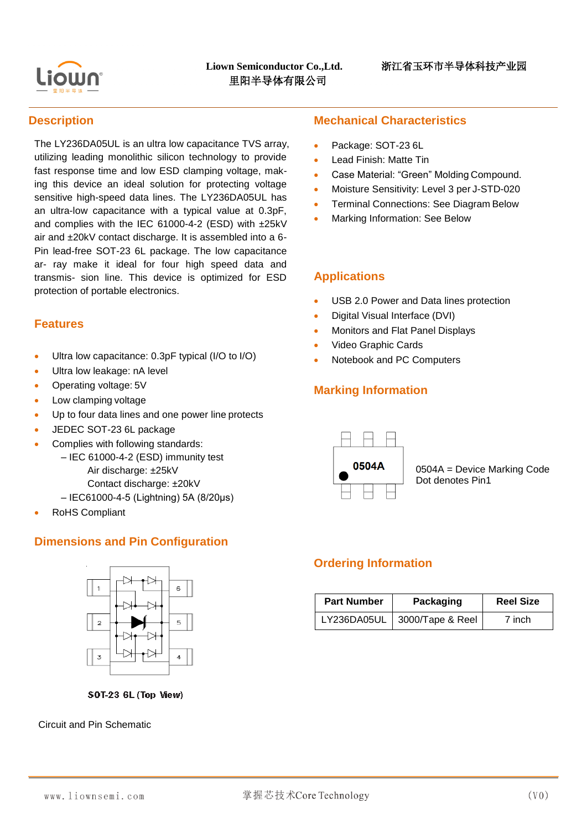

#### **Description**

The LY236DA05UL is an ultra low capacitance TVS array, utilizing leading monolithic silicon technology to provide fast response time and low ESD clamping voltage, making this device an ideal solution for protecting voltage sensitive high-speed data lines. The LY236DA05UL has an ultra-low capacitance with a typical value at 0.3pF, and complies with the IEC 61000-4-2 (ESD) with ±25kV air and ±20kV contact discharge. It is assembled into a 6- Pin lead-free SOT-23 6L package. The low capacitance ar- ray make it ideal for four high speed data and transmis- sion line. This device is optimized for ESD protection of portable electronics.

#### **Features**

- Ultra low capacitance: 0.3pF typical (I/O to I/O)
- Ultra low leakage: nA level
- Operating voltage: 5V
- Low clamping voltage
- Up to four data lines and one power line protects
- JEDEC SOT-23 6L package
- Complies with following standards:
	- IEC 61000-4-2 (ESD) immunity test Air discharge: ±25kV
		- Contact discharge: ±20kV
		- IEC61000-4-5 (Lightning) 5A (8/20μs)
- RoHS Compliant

## **Dimensions and Pin Configuration**



SOT-23 6L (Top View)

#### Circuit and Pin Schematic

#### **Mechanical Characteristics**

- Package: SOT-23 6L
- Lead Finish: Matte Tin
- Case Material: "Green" Molding Compound.
- Moisture Sensitivity: Level 3 per J-STD-020
- Terminal Connections: See Diagram Below
- Marking Information: See Below

#### **Applications**

- USB 2.0 Power and Data lines protection
- Digital Visual Interface (DVI)
- Monitors and Flat Panel Displays
- Video Graphic Cards
- Notebook and PC Computers

# **Marking Information**



0504A = Device Marking Code Dot denotes Pin1

## **Ordering Information**

| <b>Part Number</b> | Packaging        | <b>Reel Size</b> |
|--------------------|------------------|------------------|
| LY236DA05UL        | 3000/Tape & Reel | 7 inch           |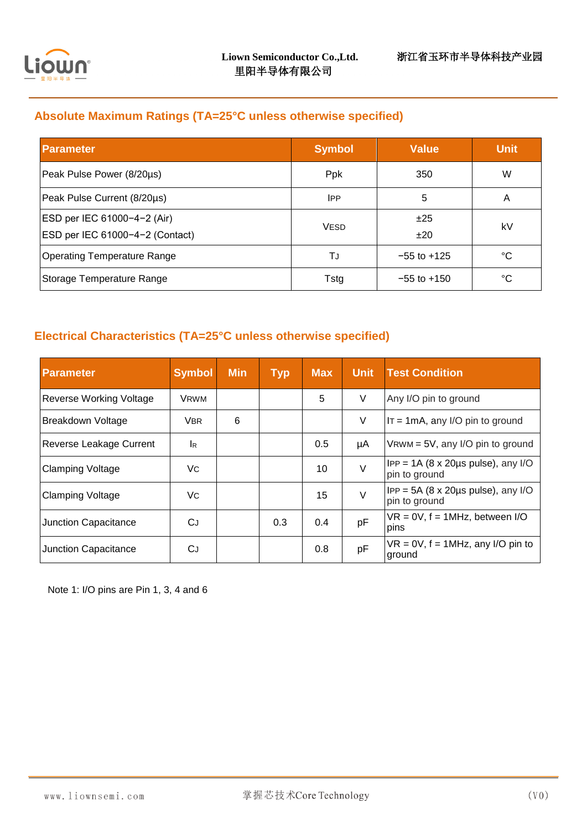

# **Absolute Maximum Ratings (TA=25°C unless otherwise specified)**

| <b>Parameter</b>                                               | <b>Symbol</b>           | <b>Value</b>    | <b>Unit</b> |
|----------------------------------------------------------------|-------------------------|-----------------|-------------|
| Peak Pulse Power (8/20µs)                                      | Ppk                     | 350             | W           |
| Peak Pulse Current (8/20µs)                                    | <b>IPP</b>              | 5               | A           |
| ESD per IEC 61000-4-2 (Air)<br>ESD per IEC 61000-4-2 (Contact) | <b>VESD</b>             | ±25<br>±20      | kV          |
| <b>Operating Temperature Range</b>                             | TJ                      | $-55$ to $+125$ | °C          |
| Storage Temperature Range                                      | $-55$ to $+150$<br>Tstg |                 | °C          |

## **Electrical Characteristics (TA=25°C unless otherwise specified)**

| <b>Parameter</b>               | <b>Symbol</b> | <b>Min</b> | <b>Typ</b> | <b>Max</b> | <b>Unit</b> | <b>Test Condition</b>                                                   |
|--------------------------------|---------------|------------|------------|------------|-------------|-------------------------------------------------------------------------|
| <b>Reverse Working Voltage</b> | <b>VRWM</b>   |            |            | 5          | V           | Any I/O pin to ground                                                   |
| Breakdown Voltage              | VBR.          | 6          |            |            | V           | $IT = 1mA$ , any I/O pin to ground                                      |
| Reverse Leakage Current        | IR.           |            |            | 0.5        | μA          | $V$ RWM = 5V, any I/O pin to ground                                     |
| <b>Clamping Voltage</b>        | Vc            |            |            | 10         | $\vee$      | $IPP = 1A (8 \times 20 \mu s \text{ pulse})$ , any I/O<br>pin to ground |
| <b>Clamping Voltage</b>        | Vc            |            |            | 15         | $\vee$      | $IPP = 5A (8 \times 20 \mu s \text{ pulse})$ , any I/O<br>pin to ground |
| Junction Capacitance           | СJ            |            | 0.3        | 0.4        | pF          | $VR = 0V$ , $f = 1MHz$ , between I/O<br>pins                            |
| Junction Capacitance           | СJ            |            |            | 0.8        | pF          | $VR = 0V$ , $f = 1MHz$ , any I/O pin to<br>ground                       |

Note 1: I/O pins are Pin 1, 3, 4 and 6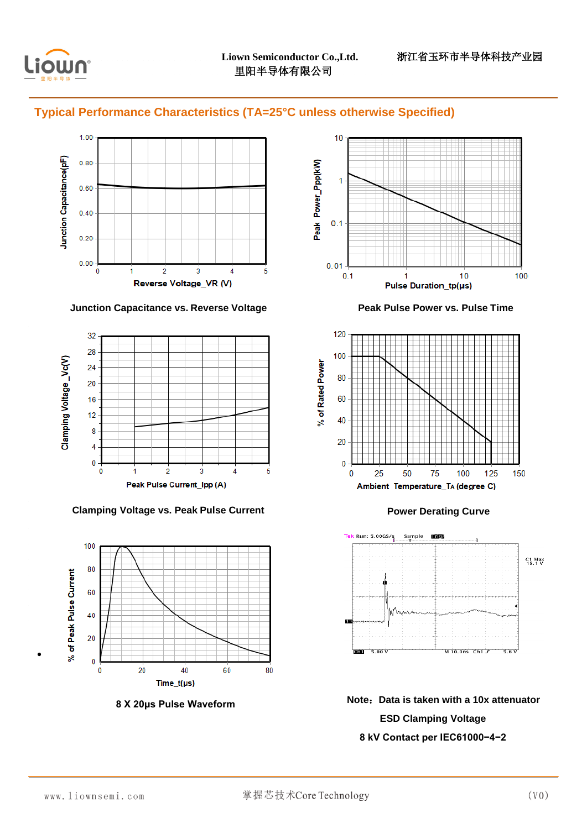

#### **Typical Performance Characteristics (TA=25°C unless otherwise Specified)**



#### **Junction Capacitance vs. Reverse Voltage Peak Pulse Power vs. Pulse Time**



#### **Clamping Voltage vs. Peak Pulse Current Power Derating Curve**









**8 X 20μs Pulse Waveform Note**:**Data is taken with a 10x attenuator ESD Clamping Voltage 8 kV Contact per IEC61000−4−2**

 $\bullet$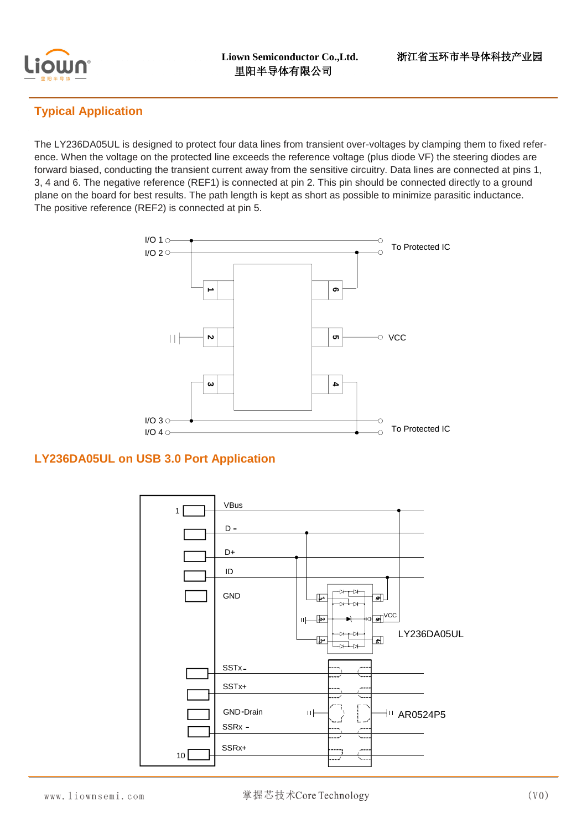

# **Typical Application**

The LY236DA05UL is designed to protect four data lines from transient over-voltages by clamping them to fixed reference. When the voltage on the protected line exceeds the reference voltage (plus diode VF) the steering diodes are forward biased, conducting the transient current away from the sensitive circuitry. Data lines are connected at pins 1, 3, 4 and 6. The negative reference (REF1) is connected at pin 2. This pin should be connected directly to a ground plane on the board for best results. The path length is kept as short as possible to minimize parasitic inductance. The positive reference (REF2) is connected at pin 5.



## **LY236DA05UL on USB 3.0 Port Application**

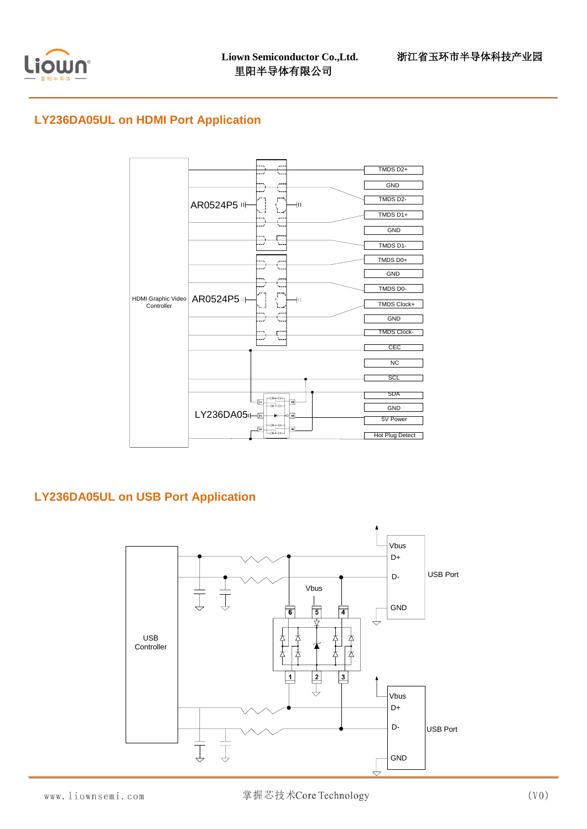

## **LY236DA05UL on HDMI Port Application**



## **LY236DA05UL on USB Port Application**